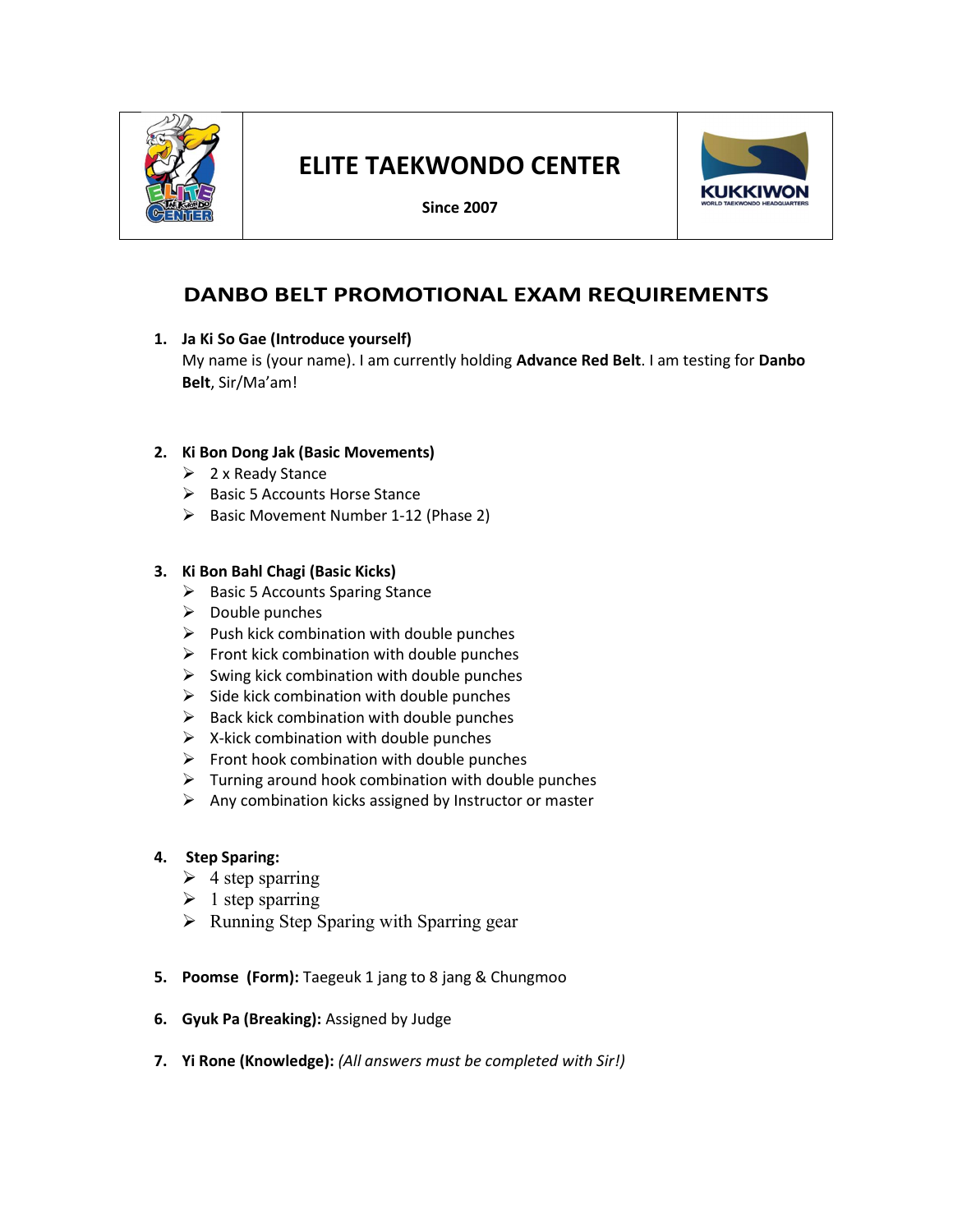

# ELITE TAEKWONDO CENTER

Since 2007



## DANBO BELT PROMOTIONAL EXAM REQUIREMENTS

1. Ja Ki So Gae (Introduce yourself)

My name is (your name). I am currently holding Advance Red Belt. I am testing for Danbo Belt, Sir/Ma'am!

## 2. Ki Bon Dong Jak (Basic Movements)

- $\geq 2$  x Ready Stance
- $\triangleright$  Basic 5 Accounts Horse Stance
- $\triangleright$  Basic Movement Number 1-12 (Phase 2)

#### 3. Ki Bon Bahl Chagi (Basic Kicks)

- $\triangleright$  Basic 5 Accounts Sparing Stance
- $\triangleright$  Double punches
- $\triangleright$  Push kick combination with double punches
- $\triangleright$  Front kick combination with double punches
- $\triangleright$  Swing kick combination with double punches
- $\triangleright$  Side kick combination with double punches
- $\triangleright$  Back kick combination with double punches
- $\triangleright$  X-kick combination with double punches
- $\triangleright$  Front hook combination with double punches
- $\triangleright$  Turning around hook combination with double punches
- $\triangleright$  Any combination kicks assigned by Instructor or master

#### 4. Step Sparing:

- $\triangleright$  4 step sparring
- $\geq 1$  step sparring
- $\triangleright$  Running Step Sparing with Sparring gear
- 5. Poomse (Form): Taegeuk 1 jang to 8 jang & Chungmoo
- 6. Gyuk Pa (Breaking): Assigned by Judge
- 7. Yi Rone (Knowledge): (All answers must be completed with Sir!)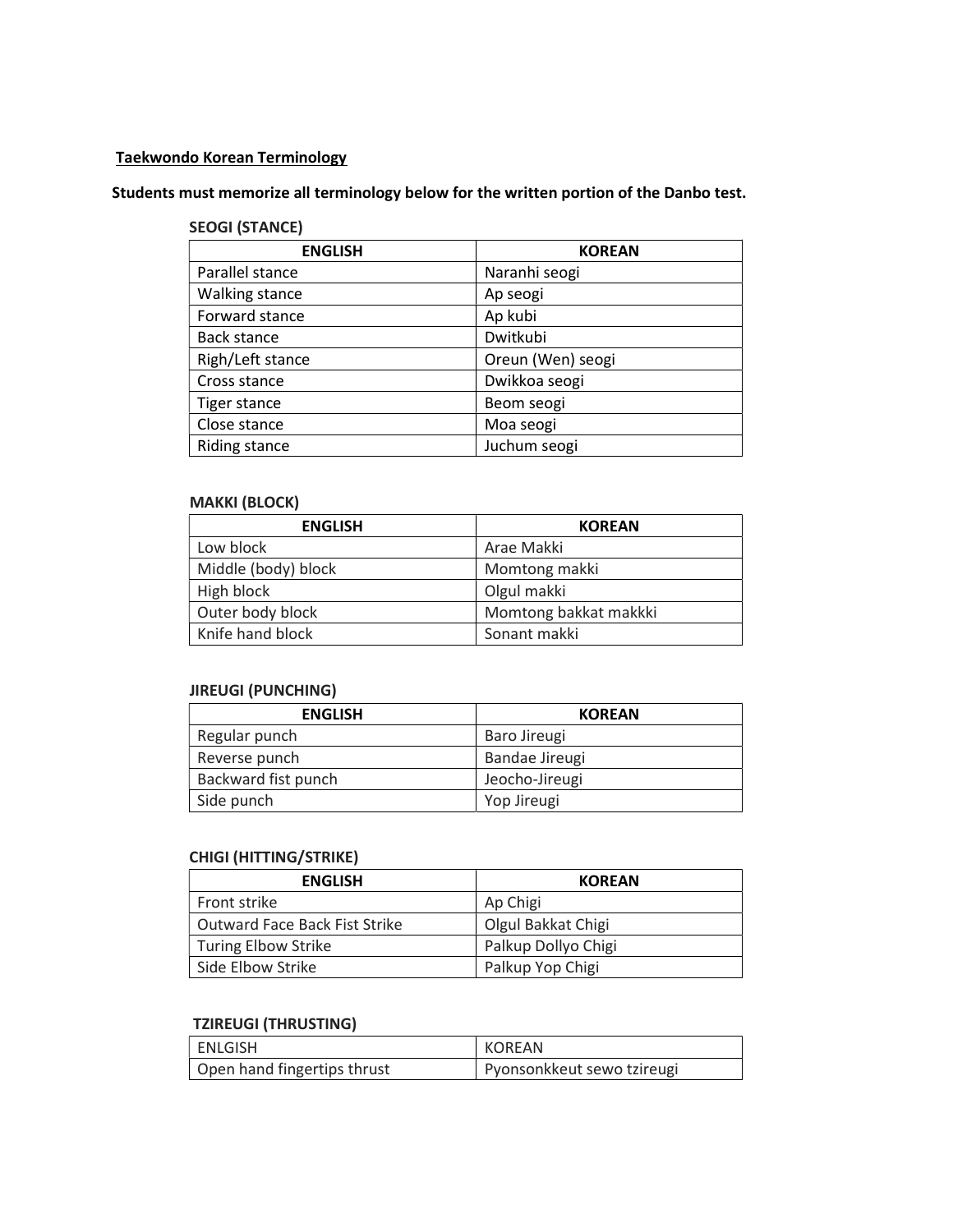#### Taekwondo Korean Terminology

## Students must memorize all terminology below for the written portion of the Danbo test.

## SEOGI (STANCE)

| <b>ENGLISH</b>      | <b>KOREAN</b>     |
|---------------------|-------------------|
| Parallel stance     | Naranhi seogi     |
| Walking stance      | Ap seogi          |
| Forward stance      | Ap kubi           |
| <b>Back stance</b>  | Dwitkubi          |
| Righ/Left stance    | Oreun (Wen) seogi |
| Cross stance        | Dwikkoa seogi     |
| <b>Tiger stance</b> | Beom seogi        |
| Close stance        | Moa seogi         |
| Riding stance       | Juchum seogi      |

## MAKKI (BLOCK)

| <b>ENGLISH</b>      | <b>KOREAN</b>         |
|---------------------|-----------------------|
| Low block           | Arae Makki            |
| Middle (body) block | Momtong makki         |
| High block          | Olgul makki           |
| Outer body block    | Momtong bakkat makkki |
| Knife hand block    | Sonant makki          |

#### JIREUGI (PUNCHING)

| <b>ENGLISH</b>      | <b>KOREAN</b>  |
|---------------------|----------------|
| Regular punch       | Baro Jireugi   |
| Reverse punch       | Bandae Jireugi |
| Backward fist punch | Jeocho-Jireugi |
| Side punch          | Yop Jireugi    |

## CHIGI (HITTING/STRIKE)

| <b>ENGLISH</b>                | <b>KOREAN</b>       |
|-------------------------------|---------------------|
| Front strike                  | Ap Chigi            |
| Outward Face Back Fist Strike | Olgul Bakkat Chigi  |
| <b>Turing Elbow Strike</b>    | Palkup Dollyo Chigi |
| Side Elbow Strike             | Palkup Yop Chigi    |

#### TZIREUGI (THRUSTING)

| ENLGISH                     | KOREAN                     |
|-----------------------------|----------------------------|
| Open hand fingertips thrust | Pyonsonkkeut sewo tzireugi |